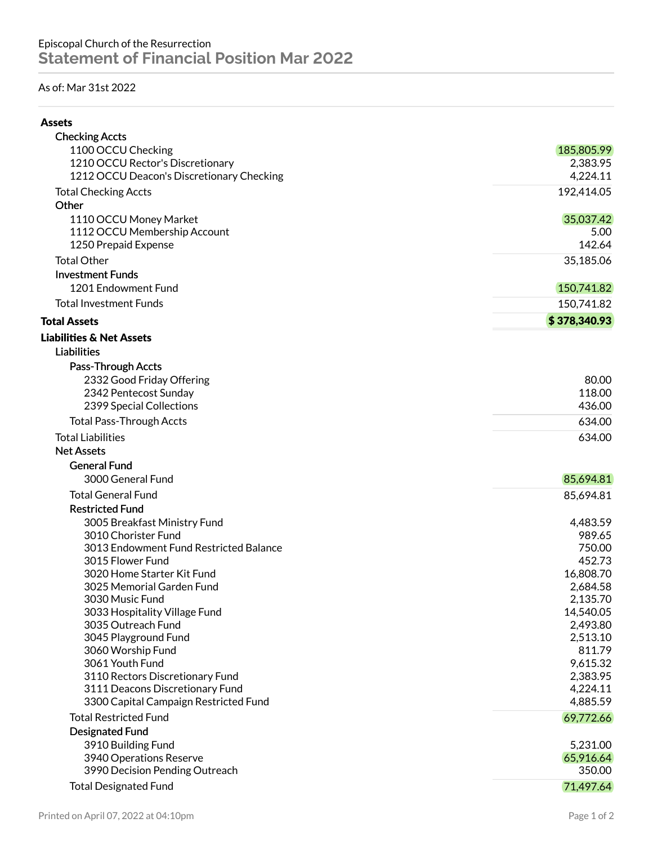## As of: Mar 31st 2022

| ۰.<br>۰,<br>۰, |
|----------------|
|----------------|

| <b>Checking Accts</b>                                     |                      |
|-----------------------------------------------------------|----------------------|
| 1100 OCCU Checking                                        | 185,805.99           |
| 1210 OCCU Rector's Discretionary                          | 2,383.95             |
| 1212 OCCU Deacon's Discretionary Checking                 | 4,224.11             |
| <b>Total Checking Accts</b>                               | 192,414.05           |
| Other                                                     |                      |
| 1110 OCCU Money Market                                    | 35,037.42            |
| 1112 OCCU Membership Account                              | 5.00                 |
| 1250 Prepaid Expense                                      | 142.64               |
| <b>Total Other</b>                                        | 35,185.06            |
| <b>Investment Funds</b>                                   |                      |
| 1201 Endowment Fund                                       | 150,741.82           |
| <b>Total Investment Funds</b>                             | 150,741.82           |
| <b>Total Assets</b>                                       | \$378,340.93         |
| <b>Liabilities &amp; Net Assets</b>                       |                      |
| <b>Liabilities</b>                                        |                      |
| Pass-Through Accts                                        |                      |
| 2332 Good Friday Offering                                 | 80.00                |
| 2342 Pentecost Sunday                                     | 118.00               |
| 2399 Special Collections                                  | 436.00               |
| <b>Total Pass-Through Accts</b>                           | 634.00               |
| <b>Total Liabilities</b>                                  | 634.00               |
| <b>Net Assets</b>                                         |                      |
| <b>General Fund</b>                                       |                      |
| 3000 General Fund                                         | 85,694.81            |
| <b>Total General Fund</b>                                 | 85,694.81            |
| <b>Restricted Fund</b>                                    |                      |
| 3005 Breakfast Ministry Fund                              | 4,483.59             |
| 3010 Chorister Fund                                       | 989.65               |
| 3013 Endowment Fund Restricted Balance                    | 750.00               |
| 3015 Flower Fund                                          | 452.73               |
| 3020 Home Starter Kit Fund                                | 16,808.70            |
| 3025 Memorial Garden Fund                                 | 2,684.58             |
| 3030 Music Fund                                           | 2,135.70             |
| 3033 Hospitality Village Fund                             | 14,540.05            |
| 3035 Outreach Fund                                        | 2,493.80             |
| 3045 Playground Fund                                      | 2,513.10             |
| 3060 Worship Fund<br>3061 Youth Fund                      | 811.79               |
| 3110 Rectors Discretionary Fund                           | 9,615.32<br>2,383.95 |
| 3111 Deacons Discretionary Fund                           | 4,224.11             |
| 3300 Capital Campaign Restricted Fund                     | 4,885.59             |
| <b>Total Restricted Fund</b>                              | 69,772.66            |
| <b>Designated Fund</b>                                    |                      |
|                                                           |                      |
|                                                           |                      |
| 3910 Building Fund                                        | 5,231.00             |
| 3940 Operations Reserve<br>3990 Decision Pending Outreach | 65,916.64<br>350.00  |